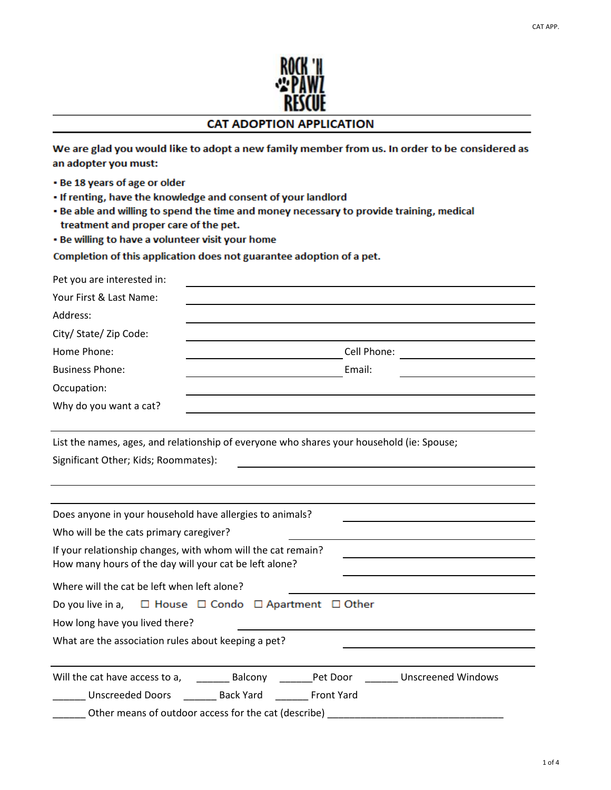

## **CAT ADOPTION APPLICATION**

We are glad you would like to adopt a new family member from us. In order to be considered as an adopter you must:

- . Be 18 years of age or older
- . If renting, have the knowledge and consent of your landlord
- . Be able and willing to spend the time and money necessary to provide training, medical treatment and proper care of the pet.
- . Be willing to have a volunteer visit your home

Completion of this application does not guarantee adoption of a pet.

| Pet you are interested in:                                                                |                                                             |             |                                                         |
|-------------------------------------------------------------------------------------------|-------------------------------------------------------------|-------------|---------------------------------------------------------|
| Your First & Last Name:                                                                   |                                                             |             |                                                         |
| Address:                                                                                  |                                                             |             |                                                         |
| City/ State/ Zip Code:                                                                    |                                                             |             |                                                         |
| Home Phone:                                                                               |                                                             | Cell Phone: |                                                         |
| <b>Business Phone:</b>                                                                    | the control of the control of the control of the control of | Email:      |                                                         |
| Occupation:                                                                               |                                                             |             |                                                         |
| Why do you want a cat?                                                                    |                                                             |             |                                                         |
|                                                                                           |                                                             |             |                                                         |
| List the names, ages, and relationship of everyone who shares your household (ie: Spouse; |                                                             |             |                                                         |
| Significant Other; Kids; Roommates):                                                      |                                                             |             |                                                         |
|                                                                                           |                                                             |             |                                                         |
|                                                                                           |                                                             |             |                                                         |
| Does anyone in your household have allergies to animals?                                  |                                                             |             |                                                         |
| Who will be the cats primary caregiver?                                                   |                                                             |             |                                                         |
| If your relationship changes, with whom will the cat remain?                              |                                                             |             | <u> 1989 - Johann Barnett, fransk politik (d. 1989)</u> |
| How many hours of the day will your cat be left alone?                                    |                                                             |             |                                                         |
| Where will the cat be left when left alone?                                               |                                                             |             |                                                         |
| Do you live in a, $\square$ House $\square$ Condo $\square$ Apartment $\square$ Other     |                                                             |             |                                                         |
| How long have you lived there?                                                            |                                                             |             |                                                         |
| What are the association rules about keeping a pet?                                       |                                                             |             |                                                         |
|                                                                                           |                                                             |             |                                                         |
|                                                                                           |                                                             |             |                                                         |
| Unscreeded Doors _______ Back Yard _______ Front Yard                                     |                                                             |             |                                                         |
| Other means of outdoor access for the cat (describe)                                      |                                                             |             |                                                         |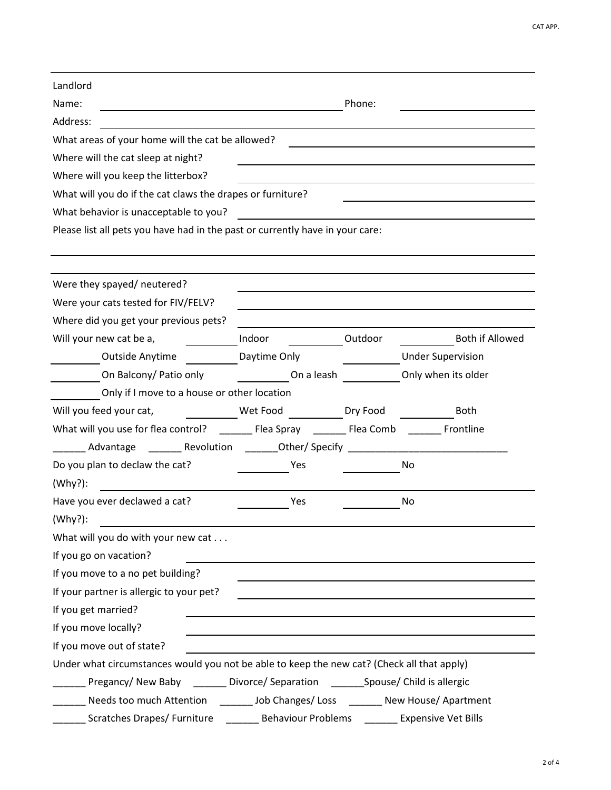| Landlord                                                                                   |                   |         |                          |  |
|--------------------------------------------------------------------------------------------|-------------------|---------|--------------------------|--|
| Name:                                                                                      | Phone:            |         |                          |  |
| Address:                                                                                   |                   |         |                          |  |
| What areas of your home will the cat be allowed?                                           |                   |         |                          |  |
| Where will the cat sleep at night?                                                         |                   |         |                          |  |
| Where will you keep the litterbox?                                                         |                   |         |                          |  |
| What will you do if the cat claws the drapes or furniture?                                 |                   |         |                          |  |
| What behavior is unacceptable to you?                                                      |                   |         |                          |  |
| Please list all pets you have had in the past or currently have in your care:              |                   |         |                          |  |
|                                                                                            |                   |         |                          |  |
| Were they spayed/ neutered?                                                                |                   |         |                          |  |
| Were your cats tested for FIV/FELV?                                                        |                   |         |                          |  |
| Where did you get your previous pets?                                                      |                   |         |                          |  |
| Will your new cat be a,                                                                    | Indoor            | Outdoor | Both if Allowed          |  |
| Outside Anytime                                                                            | Daytime Only      |         | <b>Under Supervision</b> |  |
| On Balcony/ Patio only                                                                     | On a leash        |         | Only when its older      |  |
| Only if I move to a house or other location                                                |                   |         |                          |  |
| Will you feed your cat,                                                                    | Wet Food Dry Food |         | <b>Both</b>              |  |
|                                                                                            |                   |         |                          |  |
| Advantage _________ Revolution _________Other/Specify __________________________           |                   |         |                          |  |
| Do you plan to declaw the cat?                                                             | Yes               |         | No                       |  |
| (Why?):                                                                                    |                   |         |                          |  |
| Have you ever declawed a cat?                                                              | Yes               |         | No                       |  |
| (Why?):                                                                                    |                   |         |                          |  |
| What will you do with your new cat                                                         |                   |         |                          |  |
| If you go on vacation?                                                                     |                   |         |                          |  |
| If you move to a no pet building?                                                          |                   |         |                          |  |
| If your partner is allergic to your pet?                                                   |                   |         |                          |  |
| If you get married?                                                                        |                   |         |                          |  |
| If you move locally?                                                                       |                   |         |                          |  |
| If you move out of state?                                                                  |                   |         |                          |  |
| Under what circumstances would you not be able to keep the new cat? (Check all that apply) |                   |         |                          |  |
| ___ Pregancy/ New Baby _______ Divorce/ Separation _______Spouse/ Child is allergic        |                   |         |                          |  |
| Needs too much Attention ________ Job Changes/ Loss _______ New House/ Apartment           |                   |         |                          |  |
| Scratches Drapes/ Furniture _________ Behaviour Problems ________ Expensive Vet Bills      |                   |         |                          |  |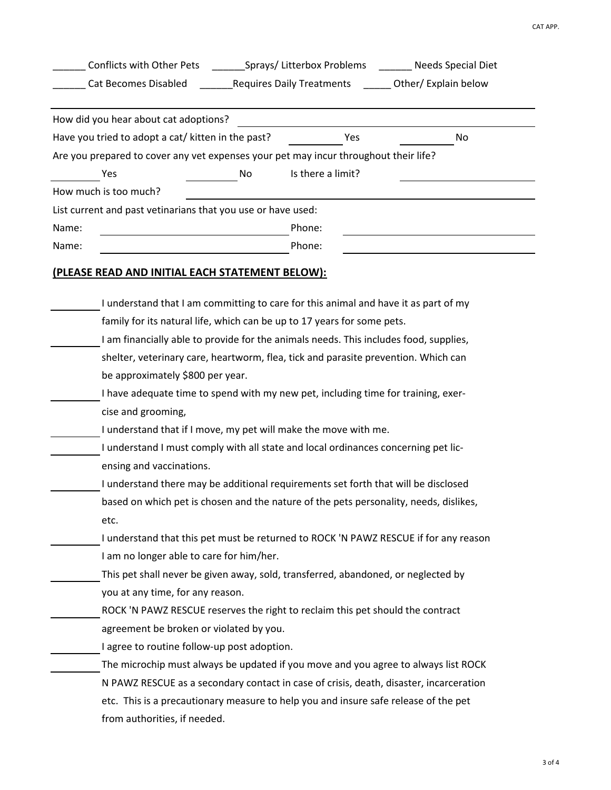|                                                                                      | Sprays/Litterbox Problems _______ Needs Special Diet<br>Conflicts with Other Pets     |                   |                                                                                        |  |  |
|--------------------------------------------------------------------------------------|---------------------------------------------------------------------------------------|-------------------|----------------------------------------------------------------------------------------|--|--|
|                                                                                      | Cat Becomes Disabled                                                                  |                   |                                                                                        |  |  |
| How did you hear about cat adoptions?                                                |                                                                                       |                   |                                                                                        |  |  |
| Have you tried to adopt a cat/ kitten in the past?                                   |                                                                                       | Yes               | No                                                                                     |  |  |
| Are you prepared to cover any vet expenses your pet may incur throughout their life? |                                                                                       |                   |                                                                                        |  |  |
| Yes                                                                                  | No                                                                                    | Is there a limit? |                                                                                        |  |  |
| How much is too much?                                                                |                                                                                       |                   |                                                                                        |  |  |
| List current and past vetinarians that you use or have used:                         |                                                                                       |                   |                                                                                        |  |  |
| Name:                                                                                |                                                                                       | Phone:            |                                                                                        |  |  |
| Name:                                                                                |                                                                                       | Phone:            |                                                                                        |  |  |
| (PLEASE READ AND INITIAL EACH STATEMENT BELOW):                                      |                                                                                       |                   |                                                                                        |  |  |
|                                                                                      |                                                                                       |                   |                                                                                        |  |  |
|                                                                                      | I understand that I am committing to care for this animal and have it as part of my   |                   |                                                                                        |  |  |
|                                                                                      | family for its natural life, which can be up to 17 years for some pets.               |                   |                                                                                        |  |  |
|                                                                                      | I am financially able to provide for the animals needs. This includes food, supplies, |                   |                                                                                        |  |  |
|                                                                                      | shelter, veterinary care, heartworm, flea, tick and parasite prevention. Which can    |                   |                                                                                        |  |  |
| be approximately \$800 per year.                                                     |                                                                                       |                   |                                                                                        |  |  |
|                                                                                      | I have adequate time to spend with my new pet, including time for training, exer-     |                   |                                                                                        |  |  |
| cise and grooming,                                                                   |                                                                                       |                   |                                                                                        |  |  |
|                                                                                      | I understand that if I move, my pet will make the move with me.                       |                   |                                                                                        |  |  |
|                                                                                      | I understand I must comply with all state and local ordinances concerning pet lic-    |                   |                                                                                        |  |  |
| ensing and vaccinations.                                                             |                                                                                       |                   |                                                                                        |  |  |
|                                                                                      | I understand there may be additional requirements set forth that will be disclosed    |                   |                                                                                        |  |  |
|                                                                                      |                                                                                       |                   | based on which pet is chosen and the nature of the pets personality, needs, dislikes,  |  |  |
| etc.                                                                                 |                                                                                       |                   |                                                                                        |  |  |
|                                                                                      |                                                                                       |                   | I understand that this pet must be returned to ROCK 'N PAWZ RESCUE if for any reason   |  |  |
|                                                                                      | I am no longer able to care for him/her.                                              |                   |                                                                                        |  |  |
|                                                                                      | This pet shall never be given away, sold, transferred, abandoned, or neglected by     |                   |                                                                                        |  |  |
| you at any time, for any reason.                                                     |                                                                                       |                   |                                                                                        |  |  |
|                                                                                      | ROCK 'N PAWZ RESCUE reserves the right to reclaim this pet should the contract        |                   |                                                                                        |  |  |
|                                                                                      | agreement be broken or violated by you.                                               |                   |                                                                                        |  |  |
|                                                                                      | I agree to routine follow-up post adoption.                                           |                   |                                                                                        |  |  |
|                                                                                      |                                                                                       |                   | The microchip must always be updated if you move and you agree to always list ROCK     |  |  |
|                                                                                      |                                                                                       |                   | N PAWZ RESCUE as a secondary contact in case of crisis, death, disaster, incarceration |  |  |
|                                                                                      | etc. This is a precautionary measure to help you and insure safe release of the pet   |                   |                                                                                        |  |  |
| from authorities, if needed.                                                         |                                                                                       |                   |                                                                                        |  |  |
|                                                                                      |                                                                                       |                   |                                                                                        |  |  |